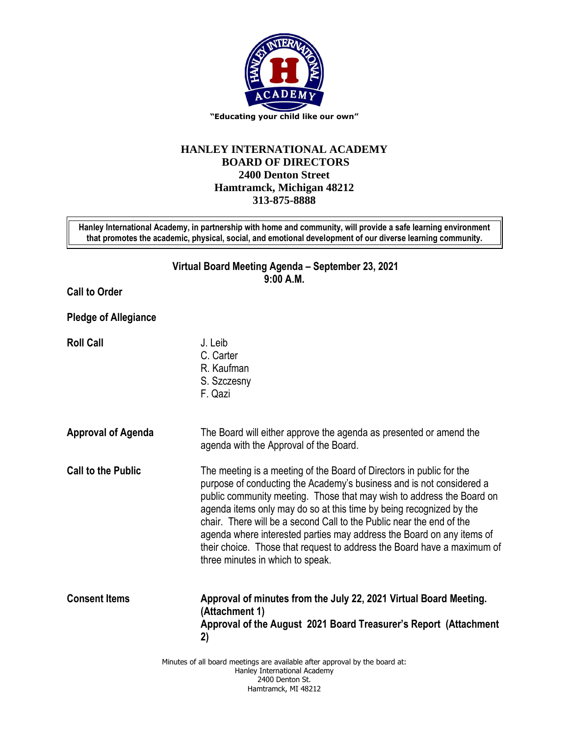

## **HANLEY INTERNATIONAL ACADEMY BOARD OF DIRECTORS 2400 Denton Street Hamtramck, Michigan 48212 313-875-8888**

**Hanley International Academy, in partnership with home and community, will provide a safe learning environment that promotes the academic, physical, social, and emotional development of our diverse learning community.**

> **Virtual Board Meeting Agenda – September 23, 2021 9:00 A.M.**

**Call to Order**

**Pledge of Allegiance**

**Roll Call** J. Leib

- C. Carter R. Kaufman
- S. Szczesny
- F. Qazi
- **Approval of Agenda** The Board will either approve the agenda as presented or amend the agenda with the Approval of the Board.
	- **Call to the Public** The meeting is a meeting of the Board of Directors in public for the purpose of conducting the Academy's business and is not considered a public community meeting. Those that may wish to address the Board on agenda items only may do so at this time by being recognized by the chair. There will be a second Call to the Public near the end of the agenda where interested parties may address the Board on any items of their choice. Those that request to address the Board have a maximum of three minutes in which to speak.
	- **Consent Items Approval of minutes from the July 22, 2021 Virtual Board Meeting. (Attachment 1) Approval of the August 2021 Board Treasurer's Report (Attachment 2)**

Minutes of all board meetings are available after approval by the board at: Hanley International Academy 2400 Denton St. Hamtramck, MI 48212